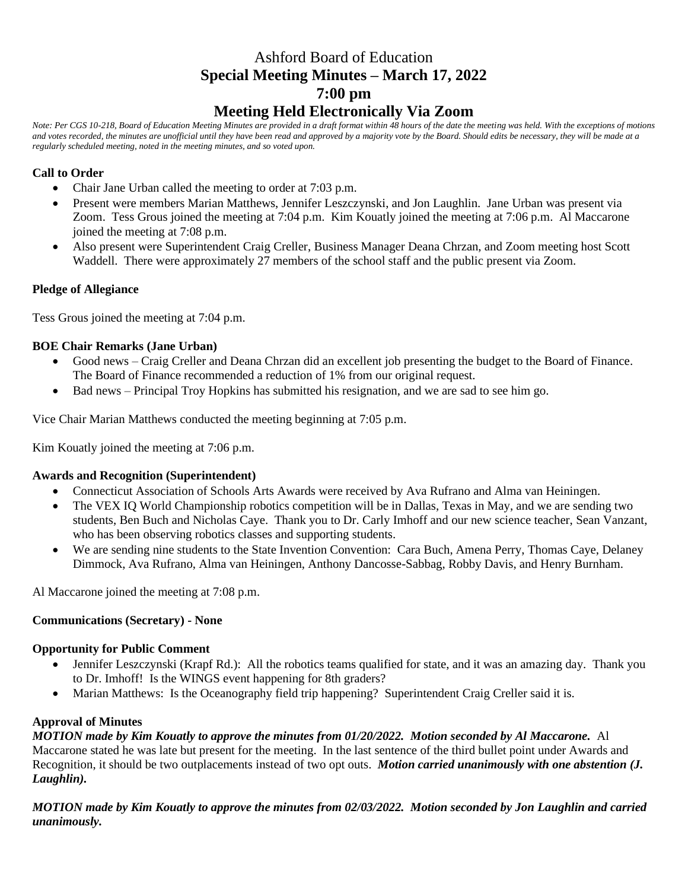# Ashford Board of Education **Special Meeting Minutes – March 17, 2022 7:00 pm Meeting Held Electronically Via Zoom**

*Note: Per CGS 10-218, Board of Education Meeting Minutes are provided in a draft format within 48 hours of the date the meeting was held. With the exceptions of motions and votes recorded, the minutes are unofficial until they have been read and approved by a majority vote by the Board. Should edits be necessary, they will be made at a regularly scheduled meeting, noted in the meeting minutes, and so voted upon.*

# **Call to Order**

- Chair Jane Urban called the meeting to order at 7:03 p.m.
- Present were members Marian Matthews, Jennifer Leszczynski, and Jon Laughlin. Jane Urban was present via Zoom. Tess Grous joined the meeting at 7:04 p.m. Kim Kouatly joined the meeting at 7:06 p.m. Al Maccarone joined the meeting at 7:08 p.m.
- Also present were Superintendent Craig Creller, Business Manager Deana Chrzan, and Zoom meeting host Scott Waddell. There were approximately 27 members of the school staff and the public present via Zoom.

# **Pledge of Allegiance**

Tess Grous joined the meeting at 7:04 p.m.

# **BOE Chair Remarks (Jane Urban)**

- Good news Craig Creller and Deana Chrzan did an excellent job presenting the budget to the Board of Finance. The Board of Finance recommended a reduction of 1% from our original request.
- Bad news Principal Troy Hopkins has submitted his resignation, and we are sad to see him go.

Vice Chair Marian Matthews conducted the meeting beginning at 7:05 p.m.

Kim Kouatly joined the meeting at 7:06 p.m.

# **Awards and Recognition (Superintendent)**

- Connecticut Association of Schools Arts Awards were received by Ava Rufrano and Alma van Heiningen.
- The VEX IO World Championship robotics competition will be in Dallas, Texas in May, and we are sending two students, Ben Buch and Nicholas Caye. Thank you to Dr. Carly Imhoff and our new science teacher, Sean Vanzant, who has been observing robotics classes and supporting students.
- We are sending nine students to the State Invention Convention: Cara Buch, Amena Perry, Thomas Caye, Delaney Dimmock, Ava Rufrano, Alma van Heiningen, Anthony Dancosse-Sabbag, Robby Davis, and Henry Burnham.

Al Maccarone joined the meeting at 7:08 p.m.

# **Communications (Secretary) - None**

# **Opportunity for Public Comment**

- Jennifer Leszczynski (Krapf Rd.): All the robotics teams qualified for state, and it was an amazing day. Thank you to Dr. Imhoff! Is the WINGS event happening for 8th graders?
- Marian Matthews: Is the Oceanography field trip happening? Superintendent Craig Creller said it is.

# **Approval of Minutes**

*MOTION made by Kim Kouatly to approve the minutes from 01/20/2022. Motion seconded by Al Maccarone.* Al Maccarone stated he was late but present for the meeting. In the last sentence of the third bullet point under Awards and Recognition, it should be two outplacements instead of two opt outs. *Motion carried unanimously with one abstention (J. Laughlin).*

*MOTION made by Kim Kouatly to approve the minutes from 02/03/2022. Motion seconded by Jon Laughlin and carried unanimously.*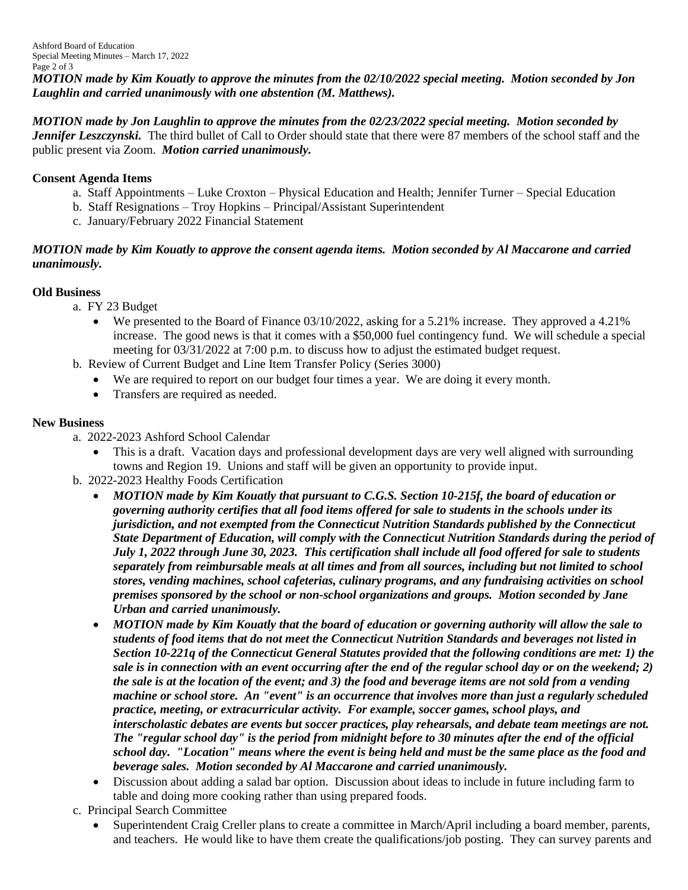*MOTION made by Kim Kouatly to approve the minutes from the 02/10/2022 special meeting. Motion seconded by Jon Laughlin and carried unanimously with one abstention (M. Matthews).*

*MOTION made by Jon Laughlin to approve the minutes from the 02/23/2022 special meeting. Motion seconded by Jennifer Leszczynski*. The third bullet of Call to Order should state that there were 87 members of the school staff and the public present via Zoom. *Motion carried unanimously.*

#### **Consent Agenda Items**

- a. Staff Appointments Luke Croxton Physical Education and Health; Jennifer Turner Special Education
- b. Staff Resignations Troy Hopkins Principal/Assistant Superintendent
- c. January/February 2022 Financial Statement

#### *MOTION made by Kim Kouatly to approve the consent agenda items. Motion seconded by Al Maccarone and carried unanimously.*

# **Old Business**

- a. FY 23 Budget
	- We presented to the Board of Finance 03/10/2022, asking for a 5.21% increase. They approved a 4.21% increase. The good news is that it comes with a \$50,000 fuel contingency fund. We will schedule a special meeting for 03/31/2022 at 7:00 p.m. to discuss how to adjust the estimated budget request.
- b. Review of Current Budget and Line Item Transfer Policy (Series 3000)
	- We are required to report on our budget four times a year. We are doing it every month.
	- Transfers are required as needed.

# **New Business**

- a. 2022-2023 Ashford School Calendar
	- This is a draft. Vacation days and professional development days are very well aligned with surrounding towns and Region 19. Unions and staff will be given an opportunity to provide input.
- b. 2022-2023 Healthy Foods Certification
	- *MOTION made by Kim Kouatly that pursuant to C.G.S. Section 10-215f, the board of education or governing authority certifies that all food items offered for sale to students in the schools under its jurisdiction, and not exempted from the Connecticut Nutrition Standards published by the Connecticut State Department of Education, will comply with the Connecticut Nutrition Standards during the period of July 1, 2022 through June 30, 2023. This certification shall include all food offered for sale to students separately from reimbursable meals at all times and from all sources, including but not limited to school stores, vending machines, school cafeterias, culinary programs, and any fundraising activities on school premises sponsored by the school or non-school organizations and groups. Motion seconded by Jane Urban and carried unanimously.*
	- *MOTION made by Kim Kouatly that the board of education or governing authority will allow the sale to students of food items that do not meet the Connecticut Nutrition Standards and beverages not listed in Section 10-221q of the Connecticut General Statutes provided that the following conditions are met: 1) the sale is in connection with an event occurring after the end of the regular school day or on the weekend; 2) the sale is at the location of the event; and 3) the food and beverage items are not sold from a vending machine or school store. An "event" is an occurrence that involves more than just a regularly scheduled practice, meeting, or extracurricular activity. For example, soccer games, school plays, and interscholastic debates are events but soccer practices, play rehearsals, and debate team meetings are not. The "regular school day" is the period from midnight before to 30 minutes after the end of the official school day. "Location" means where the event is being held and must be the same place as the food and beverage sales. Motion seconded by Al Maccarone and carried unanimously.*
	- Discussion about adding a salad bar option. Discussion about ideas to include in future including farm to table and doing more cooking rather than using prepared foods.
- c. Principal Search Committee
	- Superintendent Craig Creller plans to create a committee in March/April including a board member, parents, and teachers. He would like to have them create the qualifications/job posting. They can survey parents and